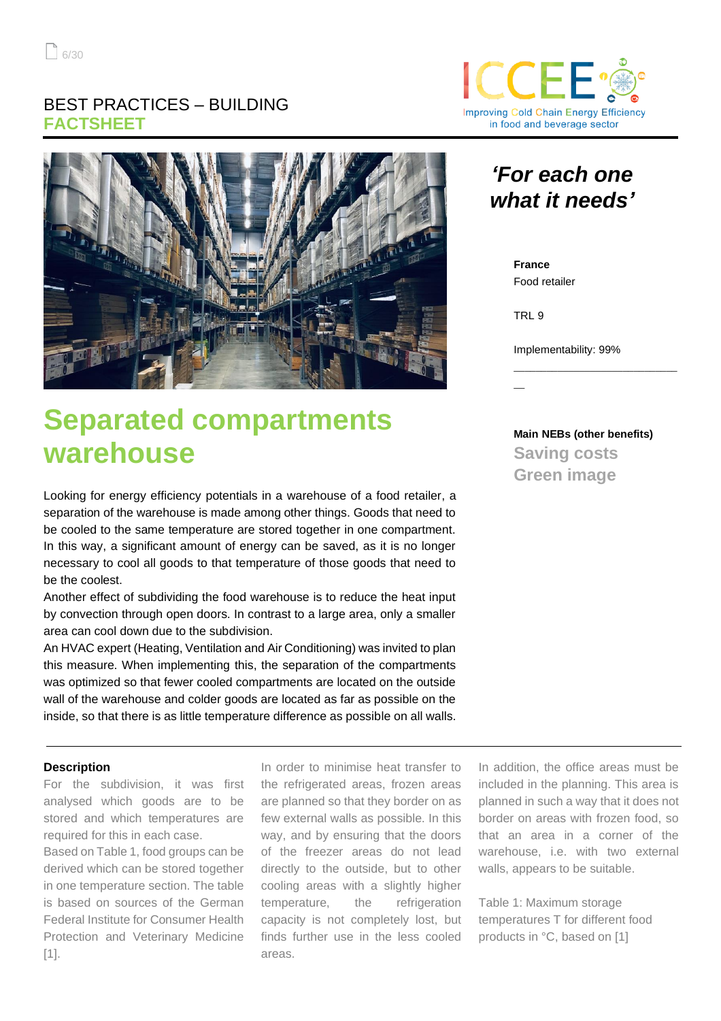### BEST PRACTICES – BUILDING **FACTSHEET**



# **Separated compartments warehouse**

Looking for energy efficiency potentials in a warehouse of a food retailer, a separation of the warehouse is made among other things. Goods that need to be cooled to the same temperature are stored together in one compartment. In this way, a significant amount of energy can be saved, as it is no longer necessary to cool all goods to that temperature of those goods that need to be the coolest.

Another effect of subdividing the food warehouse is to reduce the heat input by convection through open doors. In contrast to a large area, only a smaller area can cool down due to the subdivision.

An HVAC expert (Heating, Ventilation and Air Conditioning) was invited to plan this measure. When implementing this, the separation of the compartments was optimized so that fewer cooled compartments are located on the outside wall of the warehouse and colder goods are located as far as possible on the inside, so that there is as little temperature difference as possible on all walls.

#### **Description**

For the subdivision, it was first analysed which goods are to be stored and which temperatures are required for this in each case.

Based on Table 1, food groups can be derived which can be stored together in one temperature section. The table is based on sources of the German Federal Institute for Consumer Health Protection and Veterinary Medicine [1].

In order to minimise heat transfer to the refrigerated areas, frozen areas are planned so that they border on as few external walls as possible. In this way, and by ensuring that the doors of the freezer areas do not lead directly to the outside, but to other cooling areas with a slightly higher temperature, the refrigeration capacity is not completely lost, but finds further use in the less cooled areas.



# *'For each one what it needs'*

**France** Food retailer

TRL 9

 $\overline{\phantom{a}}$ 

Implementability: 99%

**Main NEBs (other benefits) Saving costs Green image**

\_\_\_\_\_\_\_\_\_\_\_\_\_\_\_\_\_\_\_\_\_\_\_\_\_\_\_\_\_\_

In addition, the office areas must be included in the planning. This area is planned in such a way that it does not border on areas with frozen food, so that an area in a corner of the warehouse, i.e. with two external walls, appears to be suitable.

Table 1: Maximum storage temperatures T for different food products in °C, based on [1]